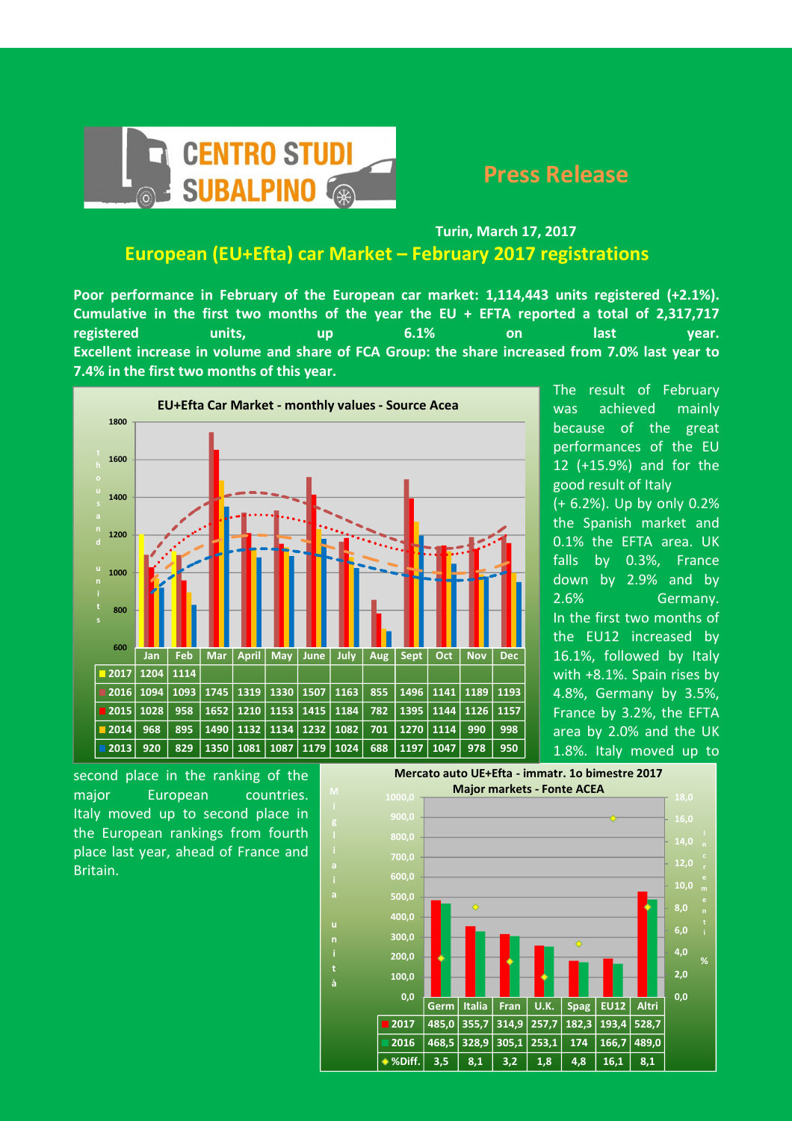

## Turin, March 17, 2017 European (EU+Efta) car Market – February 2017 registrations

Poor performance in February of the European car market: 1,114,443 units registered (+2.1%). Cumulative in the first two months of the year the EU + EFTA reported a total of 2,317,717 registered units, up 6.1% on last year. Excellent increase in volume and share of FCA Group: the share increased from 7.0% last year to 7.4% in the first two months of this year.



i

u

i t à

The result of February was achieved mainly because of the great performances of the EU 12 (+15.9%) and for the good result of Italy (+ 6.2%). Up by only 0.2%

the Spanish market and 0.1% the EFTA area. UK falls by 0.3%, France down by 2.9% and by 2.6% Germany. In the first two months of the EU12 increased by 16.1%, followed by Italy with +8.1%. Spain rises by 4.8%, Germany by 3.5%, France by 3.2%, the EFTA area by 2.0% and the UK 1.8%. Italy moved up to

second place in the ranking of the major European countries. Italy moved up to second place in the European rankings from fourth place last year, ahead of France and Britain.

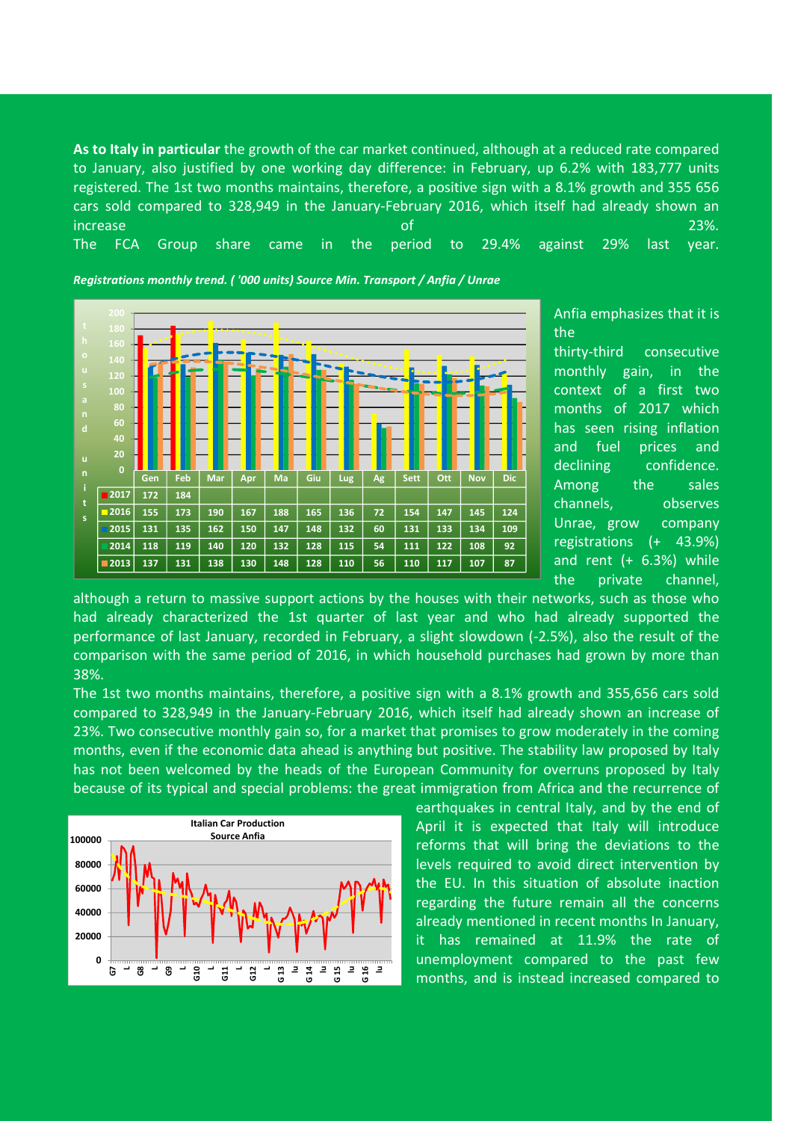As to Italy in particular the growth of the car market continued, although at a reduced rate compared to January, also justified by one working day difference: in February, up 6.2% with 183,777 units registered. The 1st two months maintains, therefore, a positive sign with a 8.1% growth and 355 656 cars sold compared to 328,949 in the January-February 2016, which itself had already shown an increase of 23%. The FCA Group share came in the period to 29.4% against 29% last year.

Gen | Feb | Mar | Apr | Ma | Giu | Lug | Ag | Sett | Ott | Nov | Dic 2017 172 184 2016 155 173 190 167 188 165 136 72 154 147 145 124 2015| 131 | 135 | 162 | 150 | 147 | 148 | 132 | 60 | 131 | 133 | 134 | 109 2014| 118 | 119 | 140 | 120 | 132 | 128 | 115 | 54 | 111 | 122 | 108 | 92 2013| 137 | 131 | 138 | 130 | 148 | 128 | 110 | 56 | 110 | 117 | 107 | 87  $\mathbf{0}$ 20 40 60 80 140 u i t s

Registrations monthly trend. ( '000 units) Source Min. Transport / Anfia / Unrae

the thirty-third consecutive monthly gain, in the context of a first two months of 2017 which has seen rising inflation and fuel prices and declining confidence. Among the sales channels, observes Unrae, grow company registrations (+ 43.9%) and rent (+ 6.3%) while the private channel,

Anfia emphasizes that it is

although a return to massive support actions by the houses with their networks, such as those who had already characterized the 1st quarter of last year and who had already supported the performance of last January, recorded in February, a slight slowdown (-2.5%), also the result of the comparison with the same period of 2016, in which household purchases had grown by more than 38%.

The 1st two months maintains, therefore, a positive sign with a 8.1% growth and 355,656 cars sold compared to 328,949 in the January-February 2016, which itself had already shown an increase of 23%. Two consecutive monthly gain so, for a market that promises to grow moderately in the coming months, even if the economic data ahead is anything but positive. The stability law proposed by Italy has not been welcomed by the heads of the European Community for overruns proposed by Italy because of its typical and special problems: the great immigration from Africa and the recurrence of



earthquakes in central Italy, and by the end of April it is expected that Italy will introduce reforms that will bring the deviations to the levels required to avoid direct intervention by the EU. In this situation of absolute inaction regarding the future remain all the concerns already mentioned in recent months In January, it has remained at 11.9% the rate of unemployment compared to the past few months, and is instead increased compared to